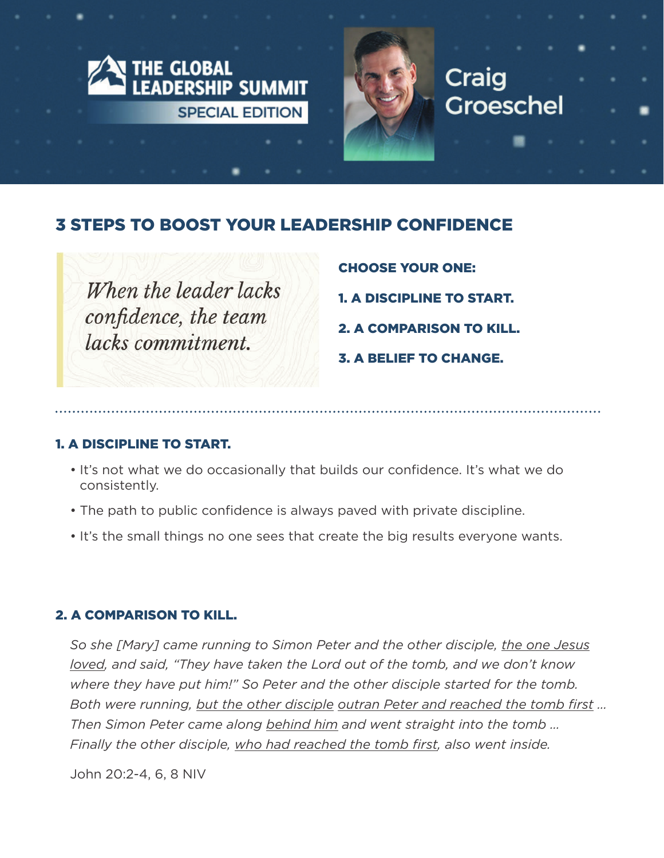

# 3 STEPS TO BOOST YOUR LEADERSHIP CONFIDENCE

When the leader lacks confidence, the team lacks commitment.

- CHOOSE YOUR ONE:
- 1. A DISCIPLINE TO START.
- 2. A COMPARISON TO KILL.
- 3. A BELIEF TO CHANGE.

#### 1. A DISCIPLINE TO START.

- It's not what we do occasionally that builds our confidence. It's what we do consistently.
- The path to public confidence is always paved with private discipline.
- It's the small things no one sees that create the big results everyone wants.

## 2. A COMPARISON TO KILL.

*So she [Mary] came running to Simon Peter and the other disciple, the one Jesus loved, and said, "They have taken the Lord out of the tomb, and we don't know where they have put him!" So Peter and the other disciple started for the tomb. Both were running, but the other disciple outran Peter and reached the tomb first … Then Simon Peter came along behind him and went straight into the tomb … Finally the other disciple, who had reached the tomb first, also went inside.* 

John 20:2-4, 6, 8 NIV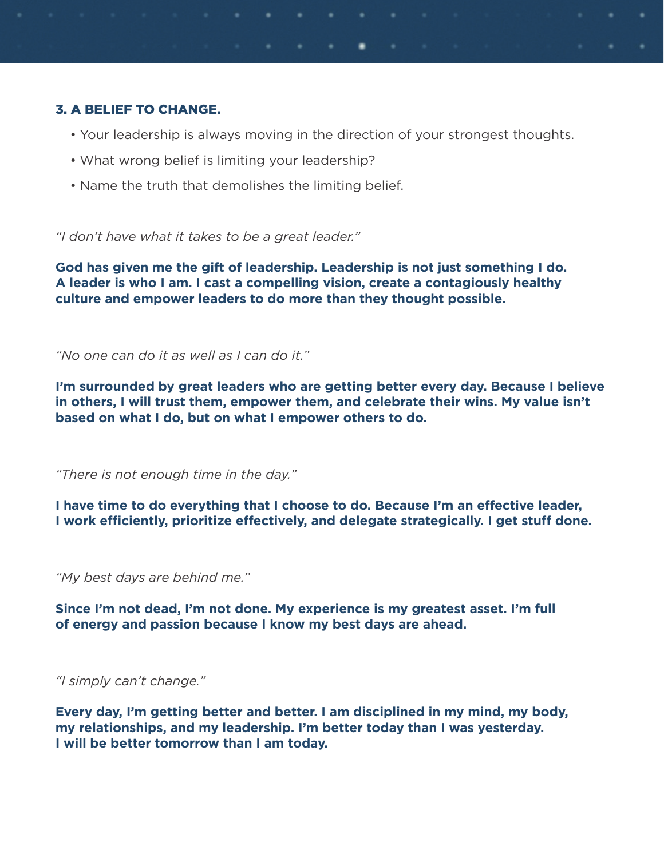### 3. A BELIEF TO CHANGE.

- Your leadership is always moving in the direction of your strongest thoughts.
- What wrong belief is limiting your leadership?
- Name the truth that demolishes the limiting belief.

*"I don't have what it takes to be a great leader."*

**God has given me the gift of leadership. Leadership is not just something I do. A leader is who I am. I cast a compelling vision, create a contagiously healthy culture and empower leaders to do more than they thought possible.**

*"No one can do it as well as I can do it."*

**I'm surrounded by great leaders who are getting better every day. Because I believe in others, I will trust them, empower them, and celebrate their wins. My value isn't based on what I do, but on what I empower others to do.**

*"There is not enough time in the day."*

**I have time to do everything that I choose to do. Because I'm an effective leader, I work efficiently, prioritize effectively, and delegate strategically. I get stuff done.**

*"My best days are behind me."*

**Since I'm not dead, I'm not done. My experience is my greatest asset. I'm full of energy and passion because I know my best days are ahead.**

*"I simply can't change."*

**Every day, I'm getting better and better. I am disciplined in my mind, my body, my relationships, and my leadership. I'm better today than I was yesterday. I will be better tomorrow than I am today.**